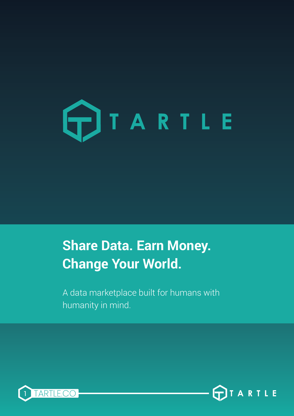

## **Share Data. Earn Money. Change Your World.**

A data marketplace built for humans with humanity in mind.



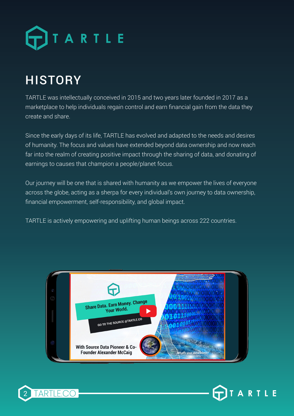

## **HISTORY**

TARTLE was intellectually conceived in 2015 and two years later founded in 2017 as a marketplace to help individuals regain control and earn financial gain from the data they create and share.

Since the early days of its life, TARTLE has evolved and adapted to the needs and desires of humanity. The focus and values have extended beyond data ownership and now reach far into the realm of creating positive impact through the sharing of data, and donating of earnings to causes that champion a people/planet focus.

Our journey will be one that is shared with humanity as we empower the lives of everyone across the globe, acting as a sherpa for every individual's own journey to data ownership, financial empowerment, self-responsibility, and global impact.

TARTLE is actively empowering and uplifting human beings across 222 countries.





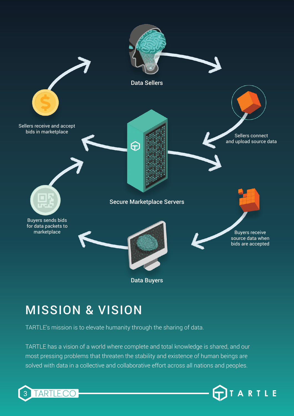

## MISSION & VISION

TARTLE's mission is to elevate humanity through the sharing of data.

TARTLE has a vision of a world where complete and total knowledge is shared, and our most pressing problems that threaten the stability and existence of human beings are solved with data in a collective and collaborative effort across all nations and peoples.

TARTLE